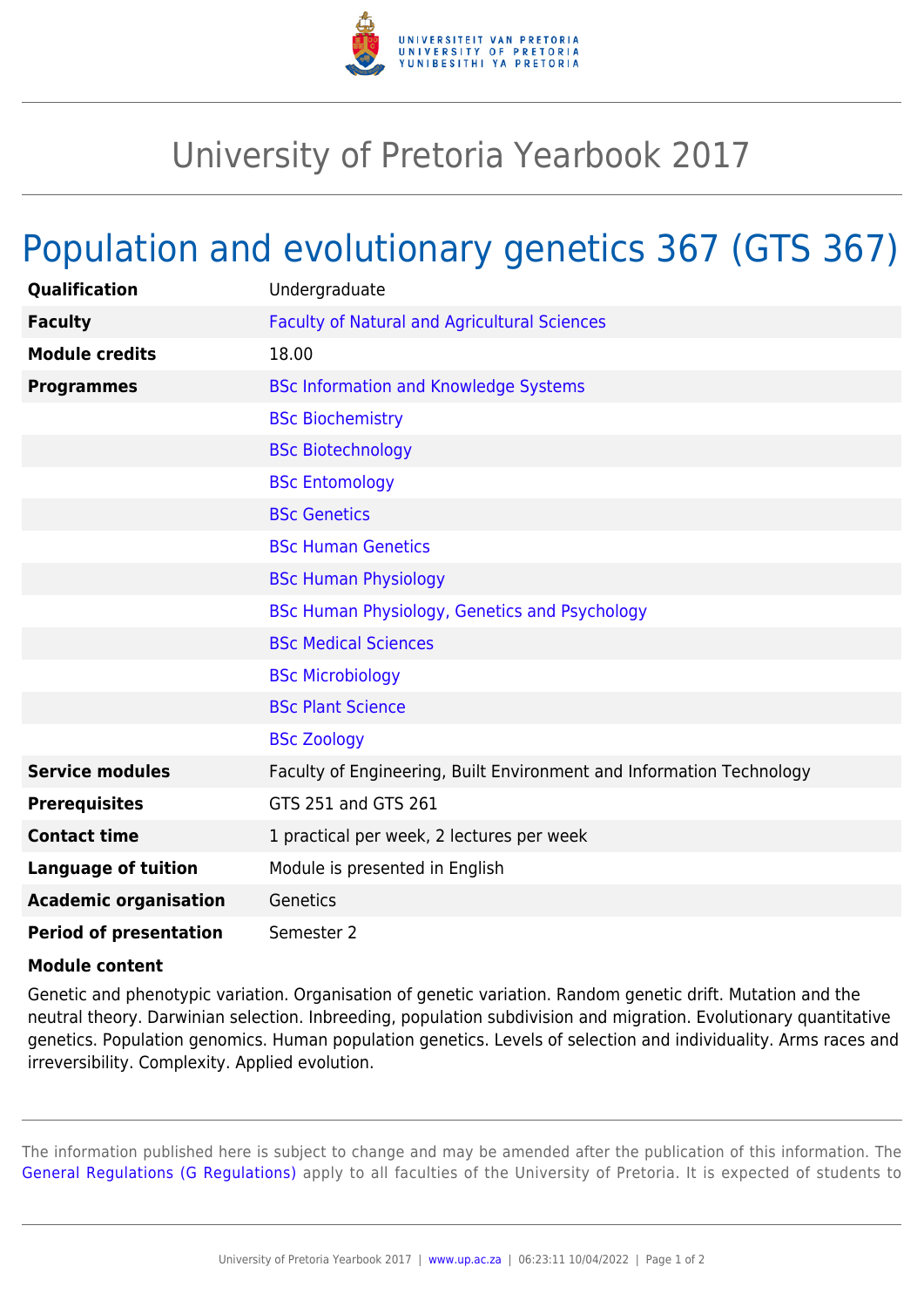

## University of Pretoria Yearbook 2017

## Population and evolutionary genetics 367 (GTS 367)

| Qualification                 | Undergraduate                                                        |
|-------------------------------|----------------------------------------------------------------------|
| <b>Faculty</b>                | <b>Faculty of Natural and Agricultural Sciences</b>                  |
| <b>Module credits</b>         | 18.00                                                                |
| <b>Programmes</b>             | <b>BSc Information and Knowledge Systems</b>                         |
|                               | <b>BSc Biochemistry</b>                                              |
|                               | <b>BSc Biotechnology</b>                                             |
|                               | <b>BSc Entomology</b>                                                |
|                               | <b>BSc Genetics</b>                                                  |
|                               | <b>BSc Human Genetics</b>                                            |
|                               | <b>BSc Human Physiology</b>                                          |
|                               | BSc Human Physiology, Genetics and Psychology                        |
|                               | <b>BSc Medical Sciences</b>                                          |
|                               | <b>BSc Microbiology</b>                                              |
|                               | <b>BSc Plant Science</b>                                             |
|                               | <b>BSc Zoology</b>                                                   |
| <b>Service modules</b>        | Faculty of Engineering, Built Environment and Information Technology |
| <b>Prerequisites</b>          | GTS 251 and GTS 261                                                  |
| <b>Contact time</b>           | 1 practical per week, 2 lectures per week                            |
| <b>Language of tuition</b>    | Module is presented in English                                       |
| <b>Academic organisation</b>  | Genetics                                                             |
| <b>Period of presentation</b> | Semester 2                                                           |

## **Module content**

Genetic and phenotypic variation. Organisation of genetic variation. Random genetic drift. Mutation and the neutral theory. Darwinian selection. Inbreeding, population subdivision and migration. Evolutionary quantitative genetics. Population genomics. Human population genetics. Levels of selection and individuality. Arms races and irreversibility. Complexity. Applied evolution.

The information published here is subject to change and may be amended after the publication of this information. The [General Regulations \(G Regulations\)](https://www.up.ac.za/parents/yearbooks/2017/rules/view/REG) apply to all faculties of the University of Pretoria. It is expected of students to